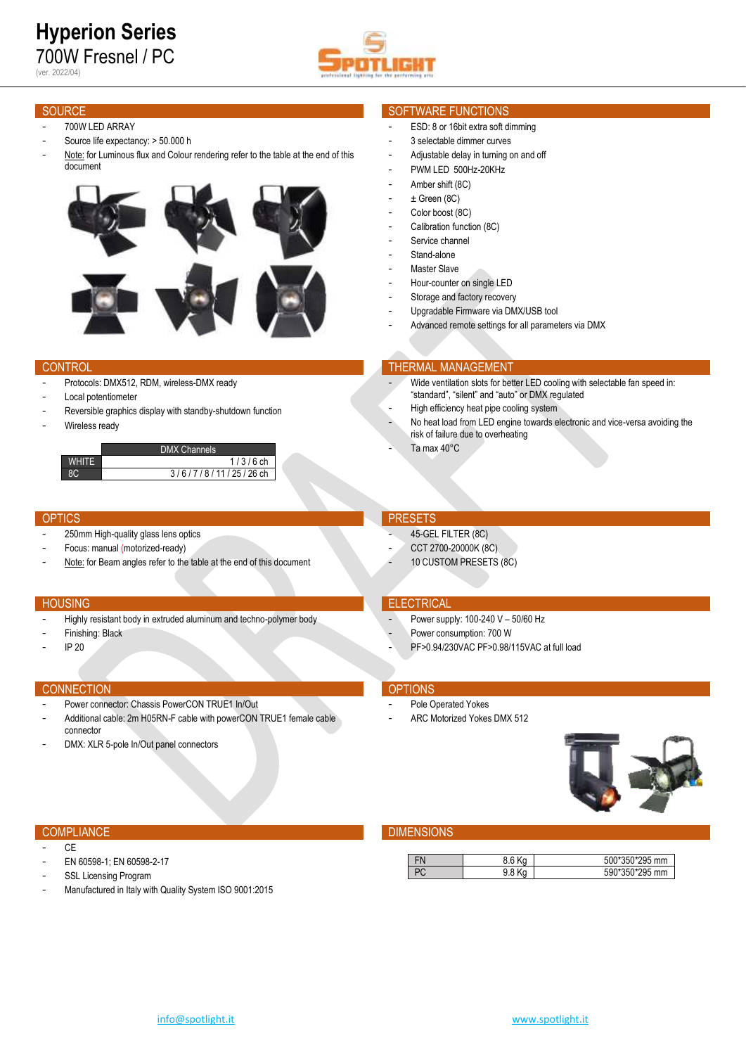# **Hyperion Series** 700W Fresnel / PC (ver. 2022/04)



- 700W LED ARRAY
- Source life expectancy: > 50.000 h
- Note: for Luminous flux and Colour rendering refer to the table at the end of this document



- Protocols: DMX512, RDM, wireless-DMX ready
- Local potentiometer
- Reversible graphics display with standby-shutdown function
- Wireless ready

|              | <b>DMX Channels</b> |
|--------------|---------------------|
| <b>WHITE</b> | $1/3/6$ ch          |
|              | 3/6/7/8/11/25/26 ch |

ŀ

- 250mm High-quality glass lens optics
- Focus: manual (motorized-ready)
- Note: for Beam angles refer to the table at the end of this document

- Highly resistant body in extruded aluminum and techno-polymer body
- Finishing: Black
- IP 20

### **CONNECTION CONNECTION**

- Power connector: Chassis PowerCON TRUE1 In/Out
- Additional cable: 2m H05RN-F cable with powerCON TRUE1 female cable connector
- DMX: XLR 5-pole In/Out panel connectors

### SOURCE SOURCE SOFTWARE FUNCTIONS

### ESD: 8 or 16bit extra soft dimming

- 3 selectable dimmer curves
- Adjustable delay in turning on and off
- PWM LED 500Hz-20KHz
- Amber shift (8C)
- $\pm$  Green (8C)
- Color boost (8C)
- Calibration function (8C)
- Service channel
- Stand-alone Master Slave
- 
- Hour-counter on single LED
- Storage and factory recovery
- Upgradable Firmware via DMX/USB tool Advanced remote settings for all parameters via DMX

### **CONTROL THERMAL MANAGEMENT**

- Wide ventilation slots for better LED cooling with selectable fan speed in: "standard", "silent" and "auto" or DMX regulated
- High efficiency heat pipe cooling system
- No heat load from LED engine towards electronic and vice-versa avoiding the risk of failure due to overheating
- Ta max 40°C

### OPTICS **PRESETS**

- 45-GEL FILTER (8C)
- CCT 2700-20000K (8C)
- 10 CUSTOM PRESETS (8C)

### HOUSING **ELECTRICAL**

- Power supply: 100-240 V 50/60 Hz
- Power consumption: 700 W
- PF>0.94/230VAC PF>0.98/115VAC at full load

- Pole Operated Yokes
- ARC Motorized Yokes DMX 512



- CE
- EN 60598-1; EN 60598-2-17
- SSL Licensing Program
- Manufactured in Italy with Quality System ISO 9001:2015



## COMPLIANCE **COMPLIANCE COMPLIANCE**

| - 11 | 8.6 K | 500*350*295 mm |
|------|-------|----------------|
| ື    |       | 590*350*295 mm |